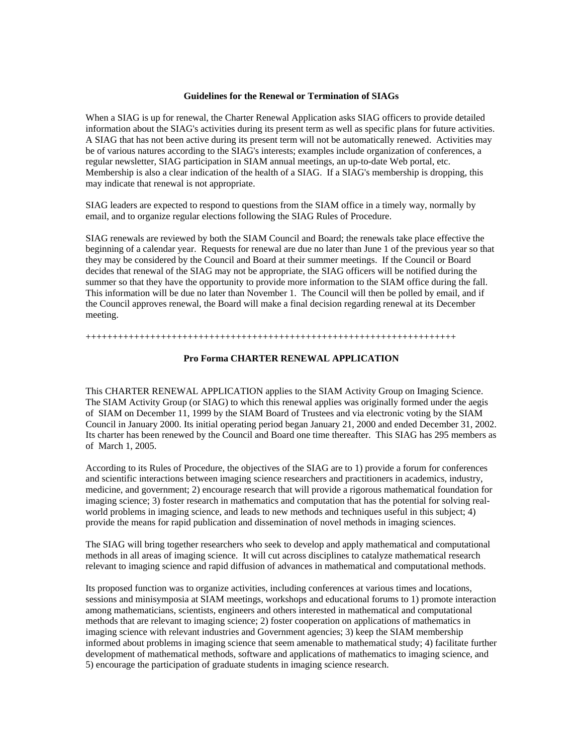## **Guidelines for the Renewal or Termination of SIAGs**

When a SIAG is up for renewal, the Charter Renewal Application asks SIAG officers to provide detailed information about the SIAG's activities during its present term as well as specific plans for future activities. A SIAG that has not been active during its present term will not be automatically renewed. Activities may be of various natures according to the SIAG's interests; examples include organization of conferences, a regular newsletter, SIAG participation in SIAM annual meetings, an up-to-date Web portal, etc. Membership is also a clear indication of the health of a SIAG. If a SIAG's membership is dropping, this may indicate that renewal is not appropriate.

SIAG leaders are expected to respond to questions from the SIAM office in a timely way, normally by email, and to organize regular elections following the SIAG Rules of Procedure.

SIAG renewals are reviewed by both the SIAM Council and Board; the renewals take place effective the beginning of a calendar year. Requests for renewal are due no later than June 1 of the previous year so that they may be considered by the Council and Board at their summer meetings. If the Council or Board decides that renewal of the SIAG may not be appropriate, the SIAG officers will be notified during the summer so that they have the opportunity to provide more information to the SIAM office during the fall. This information will be due no later than November 1. The Council will then be polled by email, and if the Council approves renewal, the Board will make a final decision regarding renewal at its December meeting.

+++++++++++++++++++++++++++++++++++++++++++++++++++++++++++++++++++++

## **Pro Forma CHARTER RENEWAL APPLICATION**

This CHARTER RENEWAL APPLICATION applies to the SIAM Activity Group on Imaging Science. The SIAM Activity Group (or SIAG) to which this renewal applies was originally formed under the aegis of SIAM on December 11, 1999 by the SIAM Board of Trustees and via electronic voting by the SIAM Council in January 2000. Its initial operating period began January 21, 2000 and ended December 31, 2002. Its charter has been renewed by the Council and Board one time thereafter. This SIAG has 295 members as of March 1, 2005.

According to its Rules of Procedure, the objectives of the SIAG are to 1) provide a forum for conferences and scientific interactions between imaging science researchers and practitioners in academics, industry, medicine, and government; 2) encourage research that will provide a rigorous mathematical foundation for imaging science; 3) foster research in mathematics and computation that has the potential for solving realworld problems in imaging science, and leads to new methods and techniques useful in this subject; 4) provide the means for rapid publication and dissemination of novel methods in imaging sciences.

The SIAG will bring together researchers who seek to develop and apply mathematical and computational methods in all areas of imaging science. It will cut across disciplines to catalyze mathematical research relevant to imaging science and rapid diffusion of advances in mathematical and computational methods.

Its proposed function was to organize activities, including conferences at various times and locations, sessions and minisymposia at SIAM meetings, workshops and educational forums to 1) promote interaction among mathematicians, scientists, engineers and others interested in mathematical and computational methods that are relevant to imaging science; 2) foster cooperation on applications of mathematics in imaging science with relevant industries and Government agencies; 3) keep the SIAM membership informed about problems in imaging science that seem amenable to mathematical study; 4) facilitate further development of mathematical methods, software and applications of mathematics to imaging science, and 5) encourage the participation of graduate students in imaging science research.